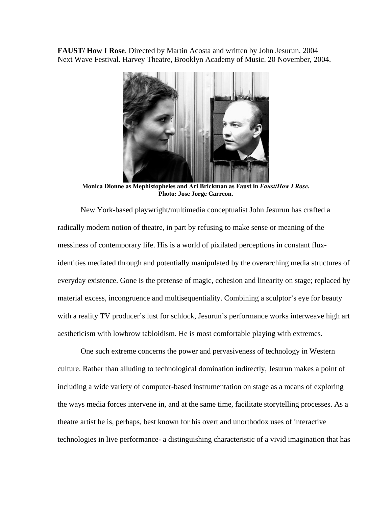**FAUST/ How I Rose**. Directed by Martin Acosta and written by John Jesurun. 2004 Next Wave Festival. Harvey Theatre, Brooklyn Academy of Music. 20 November, 2004.



**Monica Dionne as Mephistopheles and Ari Brickman as Faust in** *Faust/How I Rose***. Photo: Jose Jorge Carreon.** 

New York-based playwright/multimedia conceptualist John Jesurun has crafted a radically modern notion of theatre, in part by refusing to make sense or meaning of the messiness of contemporary life. His is a world of pixilated perceptions in constant fluxidentities mediated through and potentially manipulated by the overarching media structures of everyday existence. Gone is the pretense of magic, cohesion and linearity on stage; replaced by material excess, incongruence and multisequentiality. Combining a sculptor's eye for beauty with a reality TV producer's lust for schlock, Jesurun's performance works interweave high art aestheticism with lowbrow tabloidism. He is most comfortable playing with extremes.

One such extreme concerns the power and pervasiveness of technology in Western culture. Rather than alluding to technological domination indirectly, Jesurun makes a point of including a wide variety of computer-based instrumentation on stage as a means of exploring the ways media forces intervene in, and at the same time, facilitate storytelling processes. As a theatre artist he is, perhaps, best known for his overt and unorthodox uses of interactive technologies in live performance- a distinguishing characteristic of a vivid imagination that has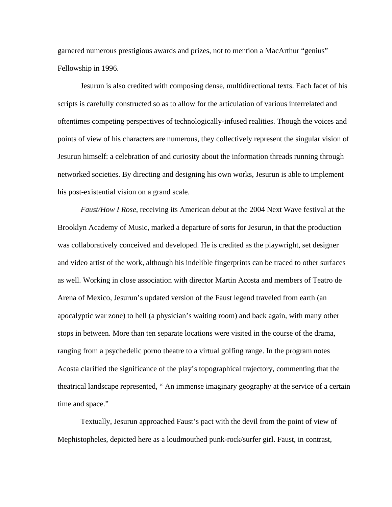garnered numerous prestigious awards and prizes, not to mention a MacArthur "genius" Fellowship in 1996.

Jesurun is also credited with composing dense, multidirectional texts. Each facet of his scripts is carefully constructed so as to allow for the articulation of various interrelated and oftentimes competing perspectives of technologically-infused realities. Though the voices and points of view of his characters are numerous, they collectively represent the singular vision of Jesurun himself: a celebration of and curiosity about the information threads running through networked societies. By directing and designing his own works, Jesurun is able to implement his post-existential vision on a grand scale.

*Faust/How I Rose*, receiving its American debut at the 2004 Next Wave festival at the Brooklyn Academy of Music, marked a departure of sorts for Jesurun, in that the production was collaboratively conceived and developed. He is credited as the playwright, set designer and video artist of the work, although his indelible fingerprints can be traced to other surfaces as well. Working in close association with director Martin Acosta and members of Teatro de Arena of Mexico, Jesurun's updated version of the Faust legend traveled from earth (an apocalyptic war zone) to hell (a physician's waiting room) and back again, with many other stops in between. More than ten separate locations were visited in the course of the drama, ranging from a psychedelic porno theatre to a virtual golfing range. In the program notes Acosta clarified the significance of the play's topographical trajectory, commenting that the theatrical landscape represented, " An immense imaginary geography at the service of a certain time and space."

Textually, Jesurun approached Faust's pact with the devil from the point of view of Mephistopheles, depicted here as a loudmouthed punk-rock/surfer girl. Faust, in contrast,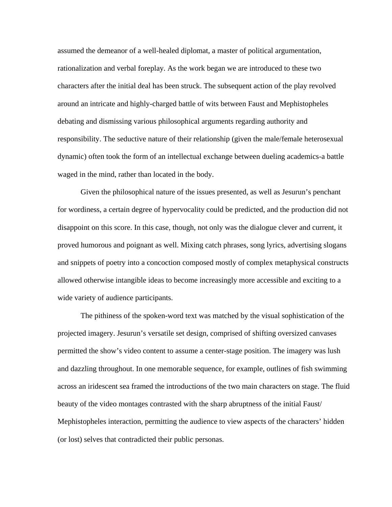assumed the demeanor of a well-healed diplomat, a master of political argumentation, rationalization and verbal foreplay. As the work began we are introduced to these two characters after the initial deal has been struck. The subsequent action of the play revolved around an intricate and highly-charged battle of wits between Faust and Mephistopheles debating and dismissing various philosophical arguments regarding authority and responsibility. The seductive nature of their relationship (given the male/female heterosexual dynamic) often took the form of an intellectual exchange between dueling academics-a battle waged in the mind, rather than located in the body.

Given the philosophical nature of the issues presented, as well as Jesurun's penchant for wordiness, a certain degree of hypervocality could be predicted, and the production did not disappoint on this score. In this case, though, not only was the dialogue clever and current, it proved humorous and poignant as well. Mixing catch phrases, song lyrics, advertising slogans and snippets of poetry into a concoction composed mostly of complex metaphysical constructs allowed otherwise intangible ideas to become increasingly more accessible and exciting to a wide variety of audience participants.

The pithiness of the spoken-word text was matched by the visual sophistication of the projected imagery. Jesurun's versatile set design, comprised of shifting oversized canvases permitted the show's video content to assume a center-stage position. The imagery was lush and dazzling throughout. In one memorable sequence, for example, outlines of fish swimming across an iridescent sea framed the introductions of the two main characters on stage. The fluid beauty of the video montages contrasted with the sharp abruptness of the initial Faust/ Mephistopheles interaction, permitting the audience to view aspects of the characters' hidden (or lost) selves that contradicted their public personas.